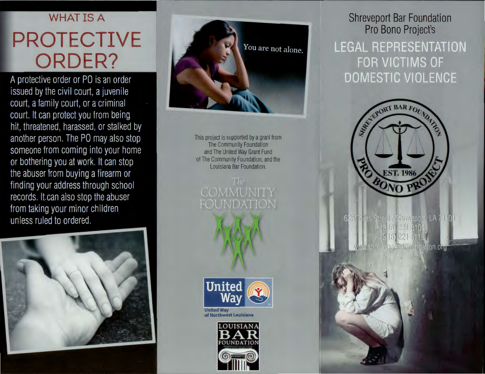# **WHAT IS A PROTECTIVE ORDER?**

A protective order or PO is an order issued by the civil court, a juvenile court, a family court, or a criminal court. It can protect you from being hit, threatened, harassed, or stalked by another person. The PO may also stop someone from coming into your home or bothering you at work. It can stop the abuser from buying a firearm or finding your address through school records. It can also stop the abuser from taking your minor children unless ruled to ordered.





This project is supported by a grant from The Community Foundation and The United Way Grant Fund of The Community Foundation, and the Louisiana Bar Foundation.





of Northwest Louisiana



## **Shreveport Bar Foundation Pro Bono Project's LEGAL REPRESENTATION** FOR VICTIMS OF **DOMESTIC VIOLENCE**



625 Toxas Street / Shreveport, LA 7110  $(3|8)$  221-8104  $(318)$  221-3115 shreveportearto indation org